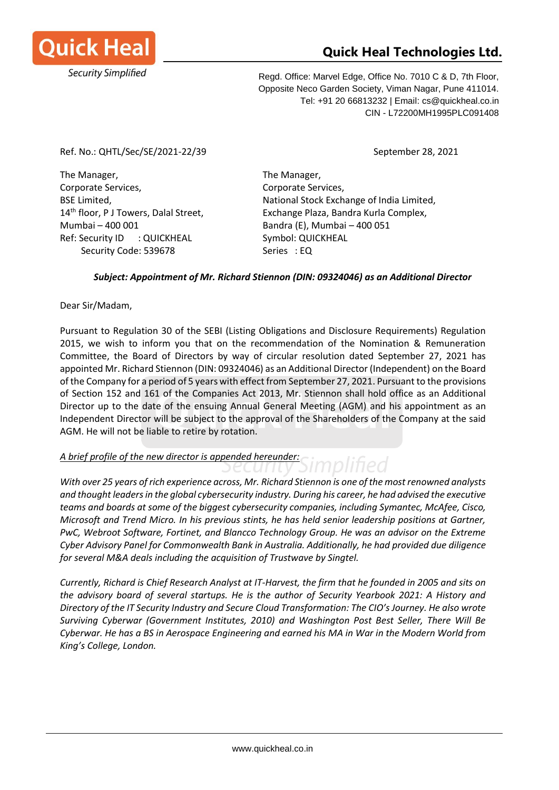

## **Quick Heal Technologies Ltd.**

Regd. Office: Marvel Edge, Office No. 7010 C & D, 7th Floor, Opposite Neco Garden Society, Viman Nagar, Pune 411014. Tel: +91 20 66813232 | Email: cs@quickheal.co.in CIN - L72200MH1995PLC091408

Ref. No.: QHTL/Sec/SE/2021-22/39 September 28, 2021

The Manager, The Manager, Corporate Services, The Corporate Services, Mumbai – 400 001 Bandra (E), Mumbai – 400 051 Ref: Security ID : QUICKHEAL Symbol: QUICKHEAL Security Code: 539678 Series : EQ

BSE Limited, National Stock Exchange of India Limited, 14<sup>th</sup> floor, P J Towers, Dalal Street, Exchange Plaza, Bandra Kurla Complex,

nplified

## *Subject: Appointment of Mr. Richard Stiennon (DIN: 09324046) as an Additional Director*

Dear Sir/Madam,

Pursuant to Regulation 30 of the SEBI (Listing Obligations and Disclosure Requirements) Regulation 2015, we wish to inform you that on the recommendation of the Nomination & Remuneration Committee, the Board of Directors by way of circular resolution dated September 27, 2021 has appointed Mr. Richard Stiennon (DIN: 09324046) as an Additional Director (Independent) on the Board of the Company for a period of 5 years with effect from September 27, 2021. Pursuant to the provisions of Section 152 and 161 of the Companies Act 2013, Mr. Stiennon shall hold office as an Additional Director up to the date of the ensuing Annual General Meeting (AGM) and his appointment as an Independent Director will be subject to the approval of the Shareholders of the Company at the said AGM. He will not be liable to retire by rotation.

## *A brief profile of the new director is appended hereunder:*

curity Si *With over 25 years of rich experience across, Mr. Richard Stiennon is one of the most renowned analysts and thought leaders in the global cybersecurity industry. During his career, he had advised the executive teams and boards at some of the biggest cybersecurity companies, including Symantec, McAfee, Cisco, Microsoft and Trend Micro. In his previous stints, he has held senior leadership positions at Gartner, PwC, Webroot Software, Fortinet, and Blancco Technology Group. He was an advisor on the Extreme Cyber Advisory Panel for Commonwealth Bank in Australia. Additionally, he had provided due diligence for several M&A deals including the acquisition of Trustwave by Singtel.*

*Currently, Richard is Chief Research Analyst at IT-Harvest, the firm that he founded in 2005 and sits on the advisory board of several startups. He is the author of Security Yearbook 2021: A History and Directory of the IT Security Industry and Secure Cloud Transformation: The CIO's Journey. He also wrote Surviving Cyberwar (Government Institutes, 2010) and Washington Post Best Seller, There Will Be Cyberwar. He has a BS in Aerospace Engineering and earned his MA in War in the Modern World from King's College, London.*